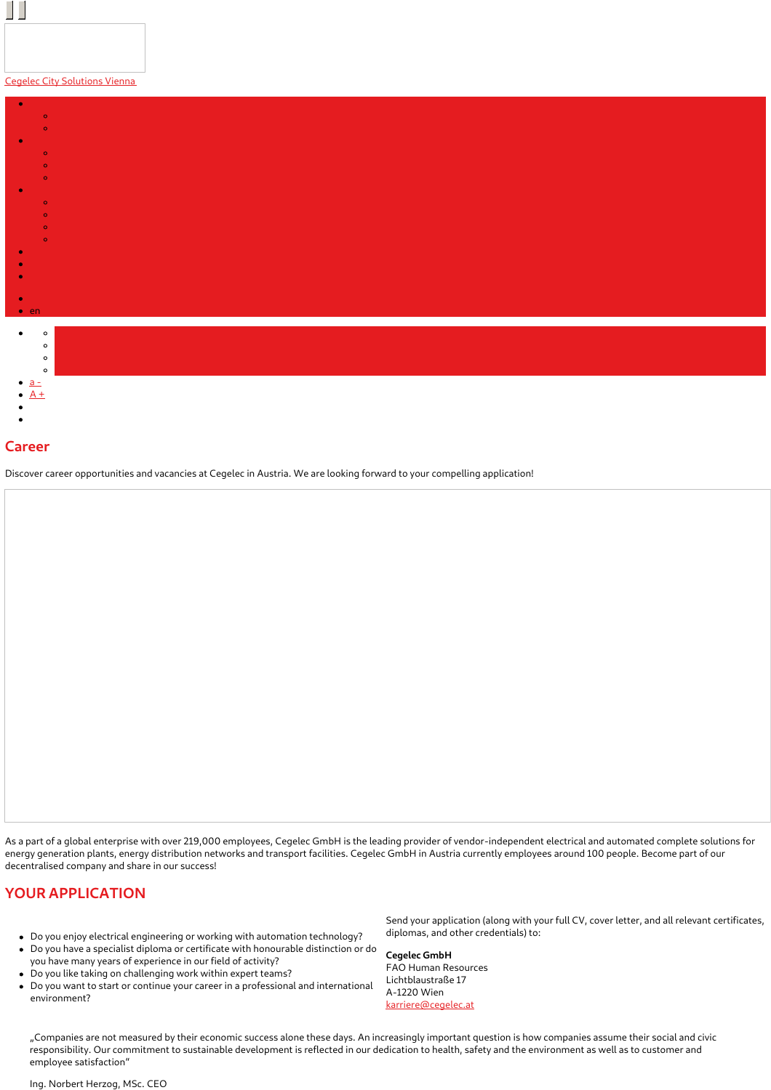## Cegelec City [Solutions](https://www.cegelec.at/en/home/) Vienna

II



## **Career**

Discover career opportunities and vacancies at Cegelec in Austria. We are looking forward to your compelling application!

As a part of a global enterprise with over 219,000 employees, Cegelec GmbH is the leading provider of vendor-independent electrical and automated complete solutions for energy generation plants, energy distribution networks and transport facilities. Cegelec GmbH in Austria currently employees around 100 people. Become part of our decentralised company and share in our success!

## **YOUR APPLICATION**

- Do you enjoy electrical engineering or working with automation technology?
- Do you have a specialist diploma or certificate with honourable distinction or do
- you have many years of experience in our field of activity?
- Do you like taking on challenging work within expert teams?
- Do you want to start or continue your career in a professional and international environment?

Send your application (along with your full CV, cover letter, and all relevant certificates, diplomas, and other credentials) to:

## **Cegelec GmbH**

FAO Human Resources Lichtblaustraße 17 A-1220 Wien [karriere@cegelec.at](mailto:karriere@cegelec.at)

"Companies are not measured by their economic success alone these days. An increasingly important question is how companies assume their social and civic responsibility. Our commitment to sustainable development is reflected in our dedication to health, safety and the environment as well as to customer and employee satisfaction"

#### Ing. Norbert Herzog, MSc. CEO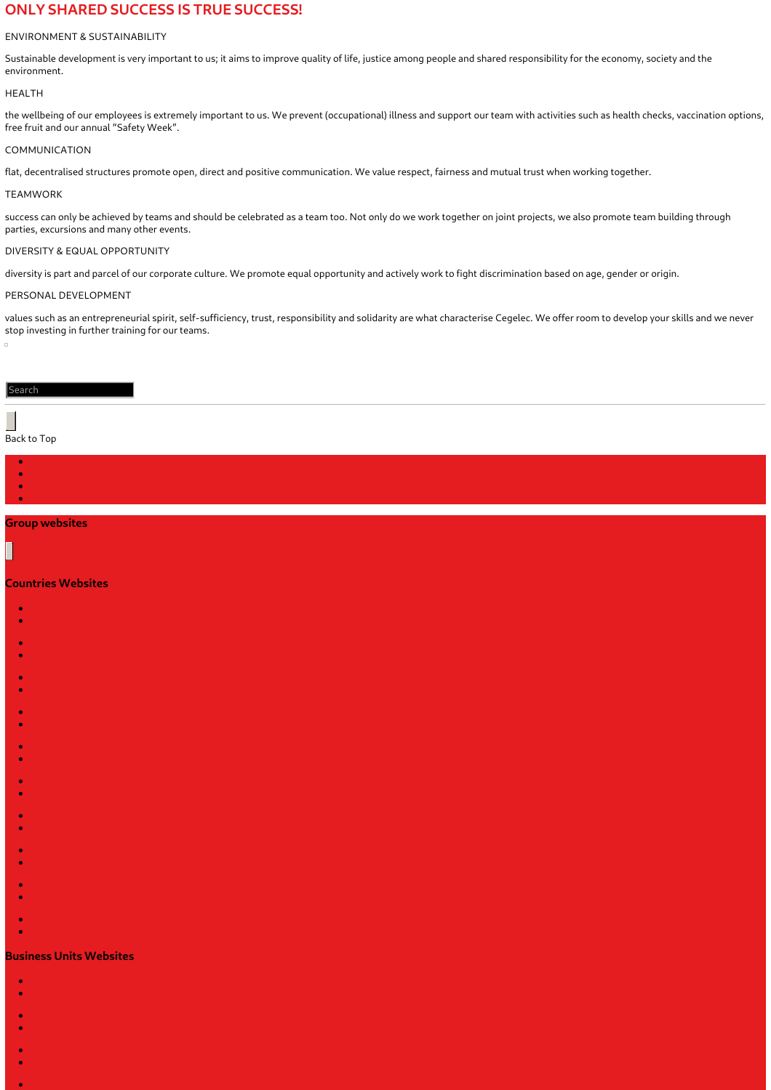# **ONLY SHARED SUCCESS IS TRUE SUCCESS!**

## ENVIRONMENT & SUSTAINABILITY

Sustainable development is very important to us; it aims to improve quality of life, justice among people and shared responsibility for the economy, society and the environment.

#### HEALTH

the wellbeing of our employees is extremely important to us. We prevent (occupational) illness and support our team with activities such as health checks, vaccination options, free fruit and our annual "Safety Week".

### COMMUNICATION

flat, decentralised structures promote open, direct and positive communication. We value respect, fairness and mutual trust when working together.

#### TEAMWORK

success can only be achieved by teams and should be celebrated as a team too. Not only do we work together on joint projects, we also promote team building through parties, excursions and many other events.

### DIVERSITY & EQUAL OPPORTUNITY

diversity is part and parcel of our corporate culture. We promote equal opportunity and actively work to fight discrimination based on age, gender or origin.

#### PERSONAL DEVELOPMENT

values such as an entrepreneurial spirit, self-sufficiency, trust, responsibility and solidarity are what characterise Cegelec. We offer room to develop your skills and we never stop investing in further training for our teams.

#### Search

# Back to Top

# **Group websites**

#### **Countries Websites**

- **x**
- 
- 
- 
- 
- 
- 
- 
- 
- 
- 
- 
- 
- 
- 
- 
- 
- 
- 
- 

# ×

# **Business Units Websites**

- k
	-
- 
- 
- 
- 
- 
- - -
-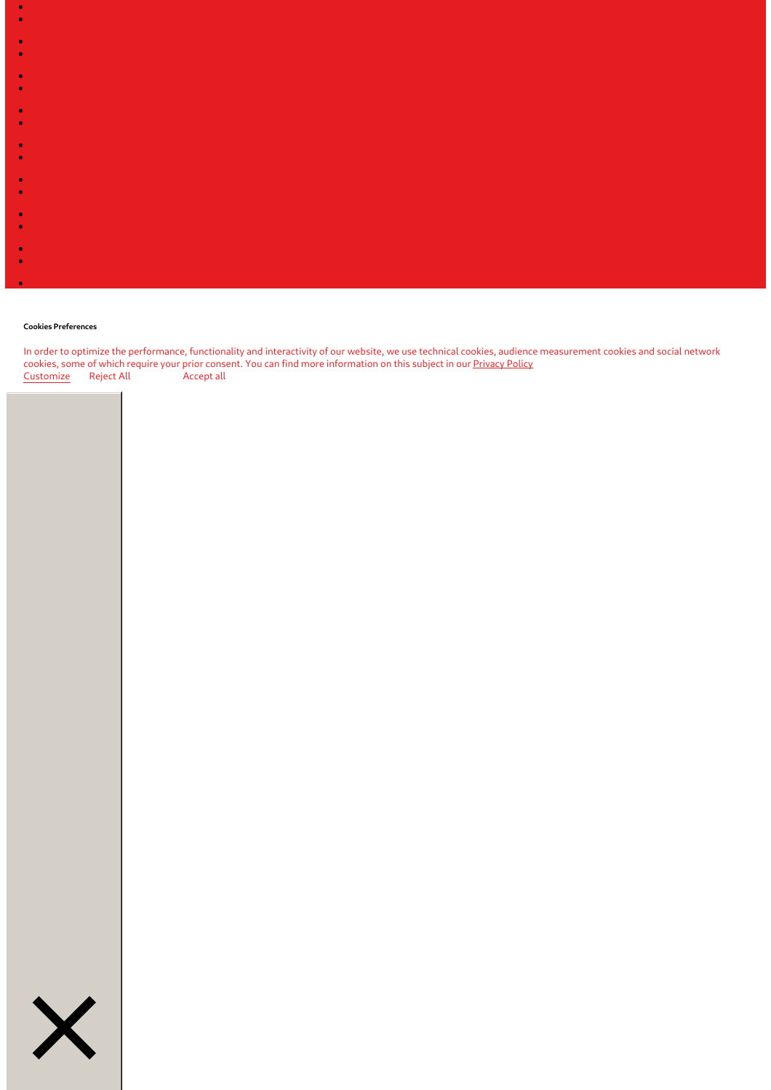

#### **Cookies Preferences**

In order to optimize the performance, functionality and interactivity of our website, we use technical cookies, audience measurement cookies and social network cookies, some of which require your prior consent. You can find more information on this subject in our <u>[Privacy](https://www.cegelec.at/cookies/) Policy</u> Customize Reject All Accept all